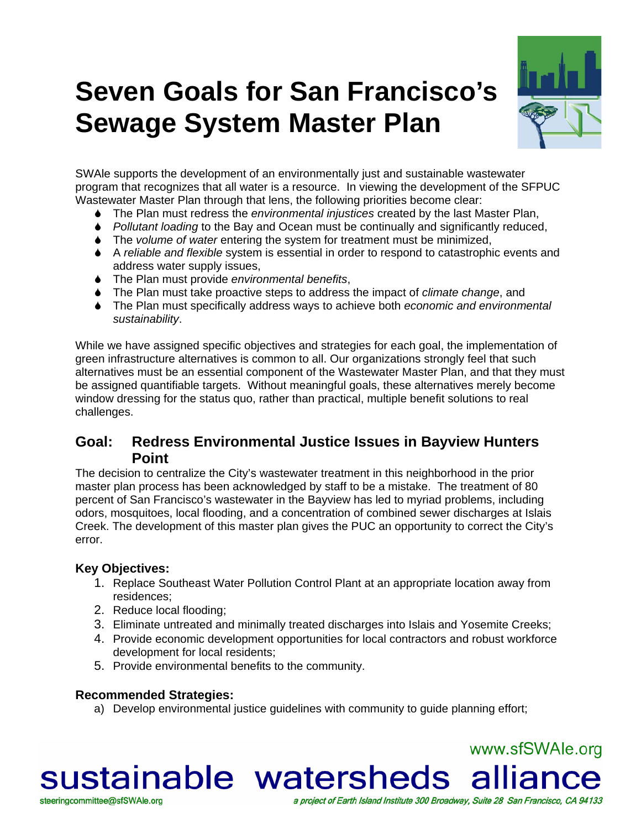# **Seven Goals for San Francisco's Sewage System Master Plan**



www.sfSWAle.org

a project of Earth Island Institute 300 Broadway, Suite 28 San Francisco, CA 94133

SWAle supports the development of an environmentally just and sustainable wastewater program that recognizes that all water is a resource. In viewing the development of the SFPUC Wastewater Master Plan through that lens, the following priorities become clear:

- 6 The Plan must redress the *environmental injustices* created by the last Master Plan,
- 6 *Pollutant loading* to the Bay and Ocean must be continually and significantly reduced,
- 6 The *volume of water* entering the system for treatment must be minimized,
- 6 A *reliable and flexible* system is essential in order to respond to catastrophic events and address water supply issues,
- 6 The Plan must provide *environmental benefits*,
- 6 The Plan must take proactive steps to address the impact of *climate change*, and
- 6 The Plan must specifically address ways to achieve both *economic and environmental sustainability*.

While we have assigned specific objectives and strategies for each goal, the implementation of green infrastructure alternatives is common to all. Our organizations strongly feel that such alternatives must be an essential component of the Wastewater Master Plan, and that they must be assigned quantifiable targets. Without meaningful goals, these alternatives merely become window dressing for the status quo, rather than practical, multiple benefit solutions to real challenges.

# **Goal: Redress Environmental Justice Issues in Bayview Hunters Point**

The decision to centralize the City's wastewater treatment in this neighborhood in the prior master plan process has been acknowledged by staff to be a mistake. The treatment of 80 percent of San Francisco's wastewater in the Bayview has led to myriad problems, including odors, mosquitoes, local flooding, and a concentration of combined sewer discharges at Islais Creek. The development of this master plan gives the PUC an opportunity to correct the City's error.

#### **Key Objectives:**

steeringcommittee@sfSWAle.org

- 1. Replace Southeast Water Pollution Control Plant at an appropriate location away from residences;
- 2. Reduce local flooding;
- 3. Eliminate untreated and minimally treated discharges into Islais and Yosemite Creeks;
- 4. Provide economic development opportunities for local contractors and robust workforce development for local residents;
- 5. Provide environmental benefits to the community.

#### **Recommended Strategies:**

a) Develop environmental justice guidelines with community to guide planning effort;

sustainable watersheds alliance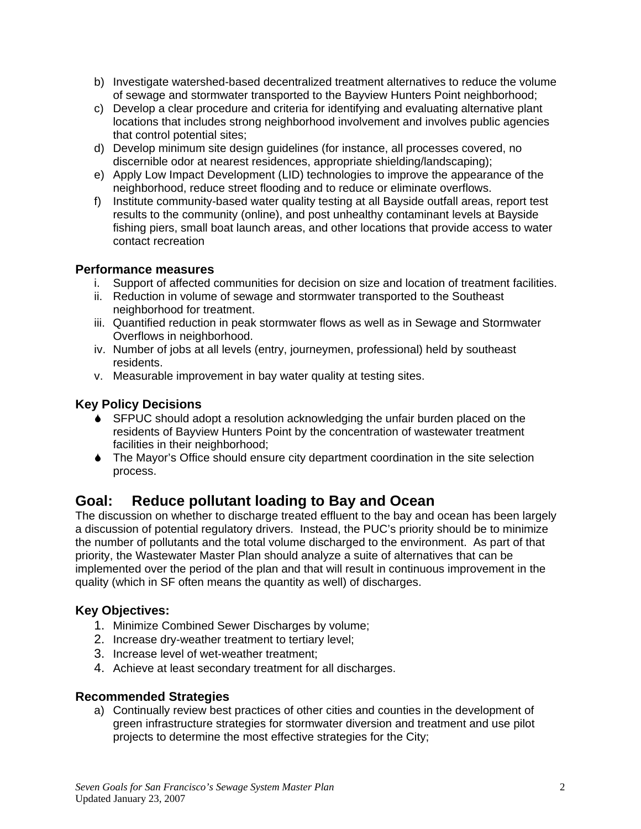- b) Investigate watershed-based decentralized treatment alternatives to reduce the volume of sewage and stormwater transported to the Bayview Hunters Point neighborhood;
- c) Develop a clear procedure and criteria for identifying and evaluating alternative plant locations that includes strong neighborhood involvement and involves public agencies that control potential sites;
- d) Develop minimum site design guidelines (for instance, all processes covered, no discernible odor at nearest residences, appropriate shielding/landscaping);
- e) Apply Low Impact Development (LID) technologies to improve the appearance of the neighborhood, reduce street flooding and to reduce or eliminate overflows.
- f) Institute community-based water quality testing at all Bayside outfall areas, report test results to the community (online), and post unhealthy contaminant levels at Bayside fishing piers, small boat launch areas, and other locations that provide access to water contact recreation

- i. Support of affected communities for decision on size and location of treatment facilities.
- ii. Reduction in volume of sewage and stormwater transported to the Southeast neighborhood for treatment.
- iii. Quantified reduction in peak stormwater flows as well as in Sewage and Stormwater Overflows in neighborhood.
- iv. Number of jobs at all levels (entry, journeymen, professional) held by southeast residents.
- v. Measurable improvement in bay water quality at testing sites.

# **Key Policy Decisions**

- 6 SFPUC should adopt a resolution acknowledging the unfair burden placed on the residents of Bayview Hunters Point by the concentration of wastewater treatment facilities in their neighborhood;
- 6 The Mayor's Office should ensure city department coordination in the site selection process.

# **Goal: Reduce pollutant loading to Bay and Ocean**

The discussion on whether to discharge treated effluent to the bay and ocean has been largely a discussion of potential regulatory drivers. Instead, the PUC's priority should be to minimize the number of pollutants and the total volume discharged to the environment. As part of that priority, the Wastewater Master Plan should analyze a suite of alternatives that can be implemented over the period of the plan and that will result in continuous improvement in the quality (which in SF often means the quantity as well) of discharges.

# **Key Objectives:**

- 1. Minimize Combined Sewer Discharges by volume;
- 2. Increase dry-weather treatment to tertiary level;
- 3. Increase level of wet-weather treatment;
- 4. Achieve at least secondary treatment for all discharges.

#### **Recommended Strategies**

a) Continually review best practices of other cities and counties in the development of green infrastructure strategies for stormwater diversion and treatment and use pilot projects to determine the most effective strategies for the City;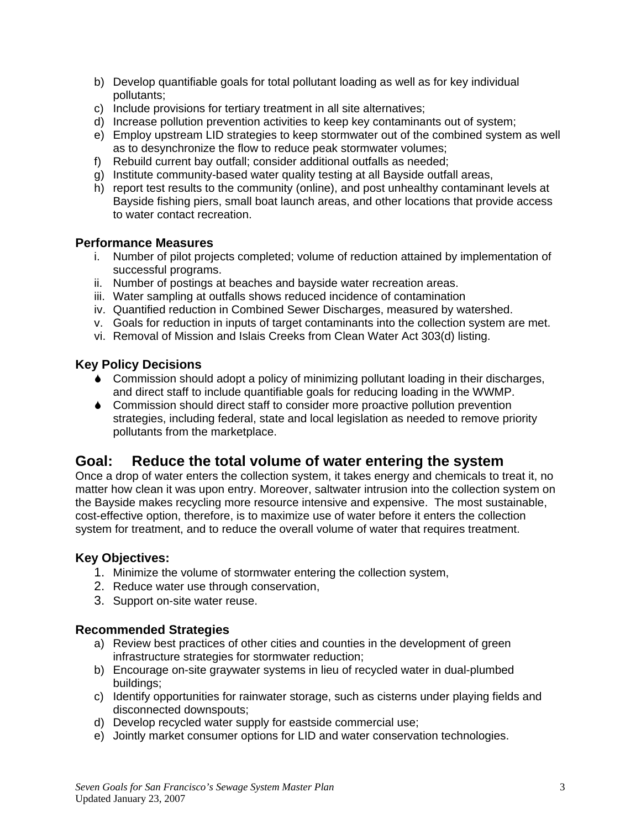- b) Develop quantifiable goals for total pollutant loading as well as for key individual pollutants;
- c) Include provisions for tertiary treatment in all site alternatives;
- d) Increase pollution prevention activities to keep key contaminants out of system;
- e) Employ upstream LID strategies to keep stormwater out of the combined system as well as to desynchronize the flow to reduce peak stormwater volumes;
- f) Rebuild current bay outfall; consider additional outfalls as needed;
- g) Institute community-based water quality testing at all Bayside outfall areas,
- h) report test results to the community (online), and post unhealthy contaminant levels at Bayside fishing piers, small boat launch areas, and other locations that provide access to water contact recreation.

- i. Number of pilot projects completed; volume of reduction attained by implementation of successful programs.
- ii. Number of postings at beaches and bayside water recreation areas.
- iii. Water sampling at outfalls shows reduced incidence of contamination
- iv. Quantified reduction in Combined Sewer Discharges, measured by watershed.
- v. Goals for reduction in inputs of target contaminants into the collection system are met.
- vi. Removal of Mission and Islais Creeks from Clean Water Act 303(d) listing.

#### **Key Policy Decisions**

- 6 Commission should adopt a policy of minimizing pollutant loading in their discharges, and direct staff to include quantifiable goals for reducing loading in the WWMP.
- 6 Commission should direct staff to consider more proactive pollution prevention strategies, including federal, state and local legislation as needed to remove priority pollutants from the marketplace.

# **Goal: Reduce the total volume of water entering the system**

Once a drop of water enters the collection system, it takes energy and chemicals to treat it, no matter how clean it was upon entry. Moreover, saltwater intrusion into the collection system on the Bayside makes recycling more resource intensive and expensive. The most sustainable, cost-effective option, therefore, is to maximize use of water before it enters the collection system for treatment, and to reduce the overall volume of water that requires treatment.

#### **Key Objectives:**

- 1. Minimize the volume of stormwater entering the collection system,
- 2. Reduce water use through conservation,
- 3. Support on-site water reuse.

#### **Recommended Strategies**

- a) Review best practices of other cities and counties in the development of green infrastructure strategies for stormwater reduction;
- b) Encourage on-site graywater systems in lieu of recycled water in dual-plumbed buildings;
- c) Identify opportunities for rainwater storage, such as cisterns under playing fields and disconnected downspouts;
- d) Develop recycled water supply for eastside commercial use;
- e) Jointly market consumer options for LID and water conservation technologies.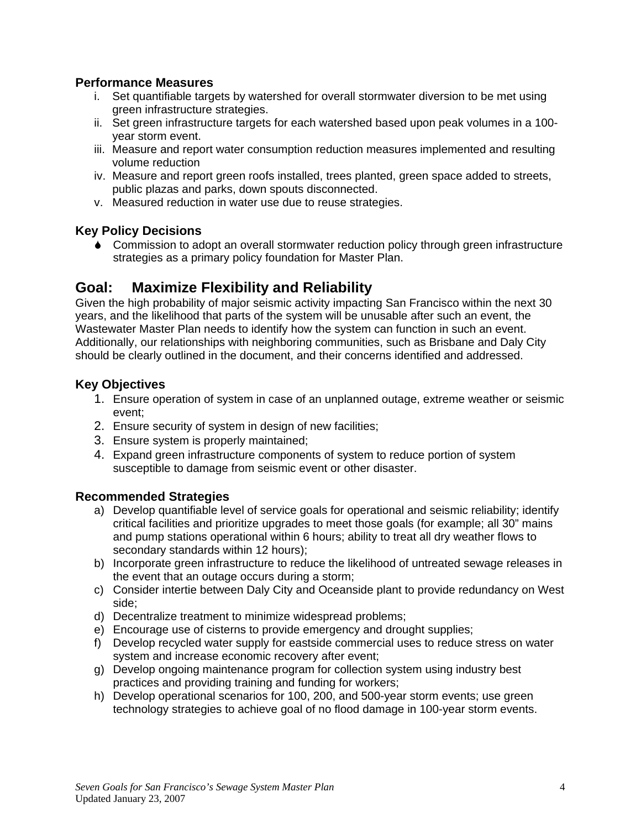- i. Set quantifiable targets by watershed for overall stormwater diversion to be met using green infrastructure strategies.
- ii. Set green infrastructure targets for each watershed based upon peak volumes in a 100 year storm event.
- iii. Measure and report water consumption reduction measures implemented and resulting volume reduction
- iv. Measure and report green roofs installed, trees planted, green space added to streets, public plazas and parks, down spouts disconnected.
- v. Measured reduction in water use due to reuse strategies.

## **Key Policy Decisions**

6 Commission to adopt an overall stormwater reduction policy through green infrastructure strategies as a primary policy foundation for Master Plan.

# **Goal: Maximize Flexibility and Reliability**

Given the high probability of major seismic activity impacting San Francisco within the next 30 years, and the likelihood that parts of the system will be unusable after such an event, the Wastewater Master Plan needs to identify how the system can function in such an event. Additionally, our relationships with neighboring communities, such as Brisbane and Daly City should be clearly outlined in the document, and their concerns identified and addressed.

## **Key Objectives**

- 1. Ensure operation of system in case of an unplanned outage, extreme weather or seismic event;
- 2. Ensure security of system in design of new facilities;
- 3. Ensure system is properly maintained;
- 4. Expand green infrastructure components of system to reduce portion of system susceptible to damage from seismic event or other disaster.

# **Recommended Strategies**

- a) Develop quantifiable level of service goals for operational and seismic reliability; identify critical facilities and prioritize upgrades to meet those goals (for example; all 30" mains and pump stations operational within 6 hours; ability to treat all dry weather flows to secondary standards within 12 hours);
- b) Incorporate green infrastructure to reduce the likelihood of untreated sewage releases in the event that an outage occurs during a storm;
- c) Consider intertie between Daly City and Oceanside plant to provide redundancy on West side;
- d) Decentralize treatment to minimize widespread problems;
- e) Encourage use of cisterns to provide emergency and drought supplies;
- f) Develop recycled water supply for eastside commercial uses to reduce stress on water system and increase economic recovery after event;
- g) Develop ongoing maintenance program for collection system using industry best practices and providing training and funding for workers;
- h) Develop operational scenarios for 100, 200, and 500-year storm events; use green technology strategies to achieve goal of no flood damage in 100-year storm events.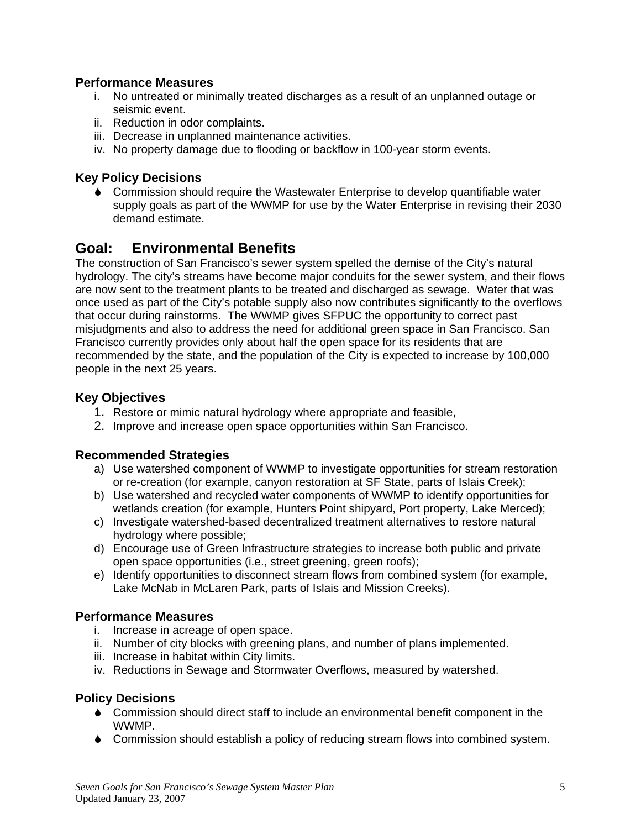- i. No untreated or minimally treated discharges as a result of an unplanned outage or seismic event.
- ii. Reduction in odor complaints.
- iii. Decrease in unplanned maintenance activities.
- iv. No property damage due to flooding or backflow in 100-year storm events.

#### **Key Policy Decisions**

6 Commission should require the Wastewater Enterprise to develop quantifiable water supply goals as part of the WWMP for use by the Water Enterprise in revising their 2030 demand estimate.

# **Goal: Environmental Benefits**

The construction of San Francisco's sewer system spelled the demise of the City's natural hydrology. The city's streams have become major conduits for the sewer system, and their flows are now sent to the treatment plants to be treated and discharged as sewage. Water that was once used as part of the City's potable supply also now contributes significantly to the overflows that occur during rainstorms. The WWMP gives SFPUC the opportunity to correct past misjudgments and also to address the need for additional green space in San Francisco. San Francisco currently provides only about half the open space for its residents that are recommended by the state, and the population of the City is expected to increase by 100,000 people in the next 25 years.

#### **Key Objectives**

- 1. Restore or mimic natural hydrology where appropriate and feasible,
- 2. Improve and increase open space opportunities within San Francisco.

#### **Recommended Strategies**

- a) Use watershed component of WWMP to investigate opportunities for stream restoration or re-creation (for example, canyon restoration at SF State, parts of Islais Creek);
- b) Use watershed and recycled water components of WWMP to identify opportunities for wetlands creation (for example, Hunters Point shipyard, Port property, Lake Merced);
- c) Investigate watershed-based decentralized treatment alternatives to restore natural hydrology where possible;
- d) Encourage use of Green Infrastructure strategies to increase both public and private open space opportunities (i.e., street greening, green roofs);
- e) Identify opportunities to disconnect stream flows from combined system (for example, Lake McNab in McLaren Park, parts of Islais and Mission Creeks).

#### **Performance Measures**

- i. Increase in acreage of open space.
- ii. Number of city blocks with greening plans, and number of plans implemented.
- iii. Increase in habitat within City limits.
- iv. Reductions in Sewage and Stormwater Overflows, measured by watershed.

#### **Policy Decisions**

- 6 Commission should direct staff to include an environmental benefit component in the WWMP.
- 6 Commission should establish a policy of reducing stream flows into combined system.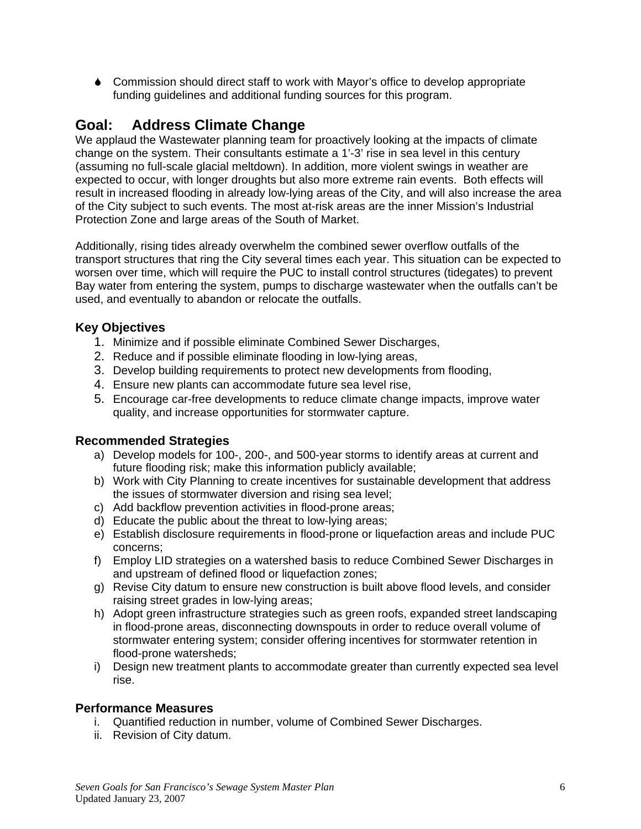6 Commission should direct staff to work with Mayor's office to develop appropriate funding guidelines and additional funding sources for this program.

# **Goal: Address Climate Change**

We applaud the Wastewater planning team for proactively looking at the impacts of climate change on the system. Their consultants estimate a 1'-3' rise in sea level in this century (assuming no full-scale glacial meltdown). In addition, more violent swings in weather are expected to occur, with longer droughts but also more extreme rain events. Both effects will result in increased flooding in already low-lying areas of the City, and will also increase the area of the City subject to such events. The most at-risk areas are the inner Mission's Industrial Protection Zone and large areas of the South of Market.

Additionally, rising tides already overwhelm the combined sewer overflow outfalls of the transport structures that ring the City several times each year. This situation can be expected to worsen over time, which will require the PUC to install control structures (tidegates) to prevent Bay water from entering the system, pumps to discharge wastewater when the outfalls can't be used, and eventually to abandon or relocate the outfalls.

## **Key Objectives**

- 1. Minimize and if possible eliminate Combined Sewer Discharges,
- 2. Reduce and if possible eliminate flooding in low-lying areas,
- 3. Develop building requirements to protect new developments from flooding,
- 4. Ensure new plants can accommodate future sea level rise,
- 5. Encourage car-free developments to reduce climate change impacts, improve water quality, and increase opportunities for stormwater capture.

#### **Recommended Strategies**

- a) Develop models for 100-, 200-, and 500-year storms to identify areas at current and future flooding risk; make this information publicly available;
- b) Work with City Planning to create incentives for sustainable development that address the issues of stormwater diversion and rising sea level;
- c) Add backflow prevention activities in flood-prone areas;
- d) Educate the public about the threat to low-lying areas;
- e) Establish disclosure requirements in flood-prone or liquefaction areas and include PUC concerns;
- f) Employ LID strategies on a watershed basis to reduce Combined Sewer Discharges in and upstream of defined flood or liquefaction zones;
- g) Revise City datum to ensure new construction is built above flood levels, and consider raising street grades in low-lying areas;
- h) Adopt green infrastructure strategies such as green roofs, expanded street landscaping in flood-prone areas, disconnecting downspouts in order to reduce overall volume of stormwater entering system; consider offering incentives for stormwater retention in flood-prone watersheds;
- i) Design new treatment plants to accommodate greater than currently expected sea level rise.

#### **Performance Measures**

- i. Quantified reduction in number, volume of Combined Sewer Discharges.
- ii. Revision of City datum.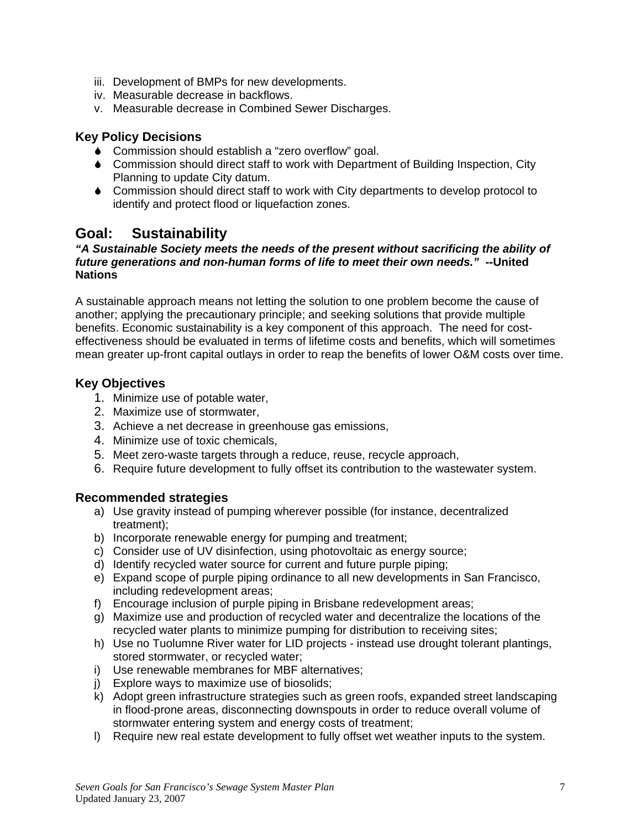- iii. Development of BMPs for new developments.
- iv. Measurable decrease in backflows.
- v. Measurable decrease in Combined Sewer Discharges.

#### **Key Policy Decisions**

- ◆ Commission should establish a "zero overflow" goal.
- 6 Commission should direct staff to work with Department of Building Inspection, City Planning to update City datum.
- 6 Commission should direct staff to work with City departments to develop protocol to identify and protect flood or liquefaction zones.

# **Goal: Sustainability**

#### *"A Sustainable Society meets the needs of the present without sacrificing the ability of future generations and non-human forms of life to meet their own needs." --***United Nations**

A sustainable approach means not letting the solution to one problem become the cause of another; applying the precautionary principle; and seeking solutions that provide multiple benefits. Economic sustainability is a key component of this approach. The need for costeffectiveness should be evaluated in terms of lifetime costs and benefits, which will sometimes mean greater up-front capital outlays in order to reap the benefits of lower O&M costs over time.

#### **Key Objectives**

- 1. Minimize use of potable water,
- 2. Maximize use of stormwater,
- 3. Achieve a net decrease in greenhouse gas emissions,
- 4. Minimize use of toxic chemicals,
- 5. Meet zero-waste targets through a reduce, reuse, recycle approach,
- 6. Require future development to fully offset its contribution to the wastewater system.

#### **Recommended strategies**

- a) Use gravity instead of pumping wherever possible (for instance, decentralized treatment);
- b) Incorporate renewable energy for pumping and treatment;
- c) Consider use of UV disinfection, using photovoltaic as energy source;
- d) Identify recycled water source for current and future purple piping;
- e) Expand scope of purple piping ordinance to all new developments in San Francisco, including redevelopment areas;
- f) Encourage inclusion of purple piping in Brisbane redevelopment areas;
- g) Maximize use and production of recycled water and decentralize the locations of the recycled water plants to minimize pumping for distribution to receiving sites;
- h) Use no Tuolumne River water for LID projects instead use drought tolerant plantings, stored stormwater, or recycled water;
- i) Use renewable membranes for MBF alternatives;
- j) Explore ways to maximize use of biosolids;
- k) Adopt green infrastructure strategies such as green roofs, expanded street landscaping in flood-prone areas, disconnecting downspouts in order to reduce overall volume of stormwater entering system and energy costs of treatment;
- l) Require new real estate development to fully offset wet weather inputs to the system.